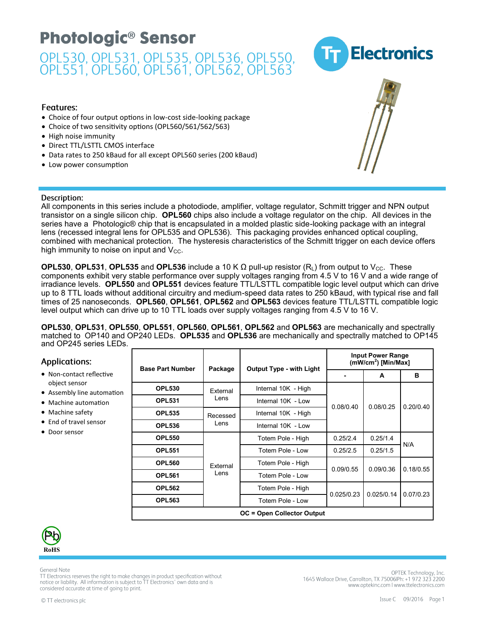

#### Features:

- Choice of four output options in low-cost side-looking package
- Choice of two sensitivity options (OPL560/561/562/563)
- High noise immunity
- Direct TTL/LSTTL CMOS interface
- Data rates to 250 kBaud for all except OPL560 series (200 kBaud)
- Low power consumption

#### Description:

All components in this series include a photodiode, amplifier, voltage regulator, Schmitt trigger and NPN output transistor on a single silicon chip. **OPL560** chips also include a voltage regulator on the chip. All devices in the series have a Photologic® chip that is encapsulated in a molded plastic side-looking package with an integral lens (recessed integral lens for OPL535 and OPL536). This packaging provides enhanced optical coupling, combined with mechanical protection. The hysteresis characteristics of the Schmitt trigger on each device offers high immunity to noise on input and  $V_{\text{CC}}$ .

**OPL530, OPL531, OPL535** and **OPL536** include a 10 K  $\Omega$  pull-up resistor (R<sub>L</sub>) from output to V<sub>CC</sub>. These components exhibit very stable performance over supply voltages ranging from 4.5 V to 16 V and a wide range of irradiance levels. **OPL550** and **OPL551** devices feature TTL/LSTTL compatible logic level output which can drive up to 8 TTL loads without additional circuitry and medium-speed data rates to 250 kBaud, with typical rise and fall times of 25 nanoseconds. **OPL560**, **OPL561**, **OPL562** and **OPL563** devices feature TTL/LSTTL compatible logic level output which can drive up to 10 TTL loads over supply voltages ranging from 4.5 V to 16 V.

**OPL530**, **OPL531**, **OPL550**, **OPL551**, **OPL560**, **OPL561**, **OPL562** and **OPL563** are mechanically and spectrally matched to OP140 and OP240 LEDs. **OPL535** and **OPL536** are mechanically and spectrally matched to OP145 and OP245 series LEDs.

| Applications:<br>• Non-contact reflective<br>object sensor<br>• Assembly line automation<br>• Machine automation<br>$\bullet$ Machine safety<br>• End of travel sensor<br>• Door sensor | <b>Base Part Number</b> | Package  | <b>Output Type - with Light</b>   | <b>Input Power Range</b><br>$(mW/cm2)$ [Min/Max] |            |           |  |
|-----------------------------------------------------------------------------------------------------------------------------------------------------------------------------------------|-------------------------|----------|-----------------------------------|--------------------------------------------------|------------|-----------|--|
|                                                                                                                                                                                         |                         |          |                                   |                                                  | A          | в         |  |
|                                                                                                                                                                                         | <b>OPL530</b>           | External | Internal 10K - High               |                                                  | 0.08/0.25  | 0.20/0.40 |  |
|                                                                                                                                                                                         | <b>OPL531</b>           | Lens     | Internal 10K - Low                | 0.08/0.40                                        |            |           |  |
|                                                                                                                                                                                         | <b>OPL535</b>           | Recessed | Internal 10K - High               |                                                  |            |           |  |
|                                                                                                                                                                                         | <b>OPL536</b>           | Lens     | Internal 10K - Low                |                                                  |            |           |  |
|                                                                                                                                                                                         | <b>OPL550</b>           |          | Totem Pole - High                 | 0.25/2.4                                         | 0.25/1.4   | N/A       |  |
|                                                                                                                                                                                         | <b>OPL551</b>           |          | Totem Pole - Low                  | 0.25/2.5                                         | 0.25/1.5   |           |  |
|                                                                                                                                                                                         | <b>OPL560</b>           | External | Totem Pole - High                 | 0.09/0.55                                        | 0.09/0.36  | 0.18/0.55 |  |
|                                                                                                                                                                                         | <b>OPL561</b>           | Lens     | Totem Pole - Low                  |                                                  |            |           |  |
|                                                                                                                                                                                         | <b>OPL562</b>           |          | Totem Pole - High                 | 0.025/0.23                                       | 0.025/0.14 | 0.07/0.23 |  |
|                                                                                                                                                                                         | <b>OPL563</b>           |          | Totem Pole - Low                  |                                                  |            |           |  |
|                                                                                                                                                                                         |                         |          | <b>OC = Open Collector Output</b> |                                                  |            |           |  |



 $\overline{1}$ 

**General Note** 

TT Electronics reserves the right to make changes in product specification without notice or liability. All information is subject to TT Electronics' own data and is considered accurate at time of going to print.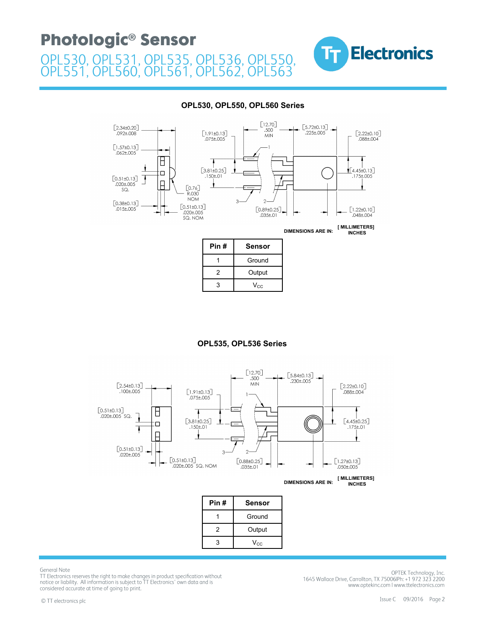



#### **OPL530, OPL550, OPL560 Series**

| $V_{CC}$ |
|----------|
|          |
|          |

1 Ground 2 | Output

#### **OPL535, OPL536 Series**



 $3$  V<sub>CC</sub>

General Note

TT Electronics reserves the right to make changes in product specification without notice or liability. All information is subject to TT Electronics' own data and is considered accurate at time of going to print.

OPTEK Technology, Inc. 1645 Wallace Drive, Carrollton, TX 75006IPh: +1 972 323 2200 www.optekinc.com | www.ttelectronics.com

3 Veces and 2 Veces and 2 Veces and 2 Veces and 2 Veces and 2 Veces and 2 Veces and 2 Veces and 2 Veces and 2<br>3 Veces and 2 Veces and 2 Veces and 2 Veces and 2 Veces and 2 Veces and 2 Veces and 2 Veces and 2 Veces and 2<br>3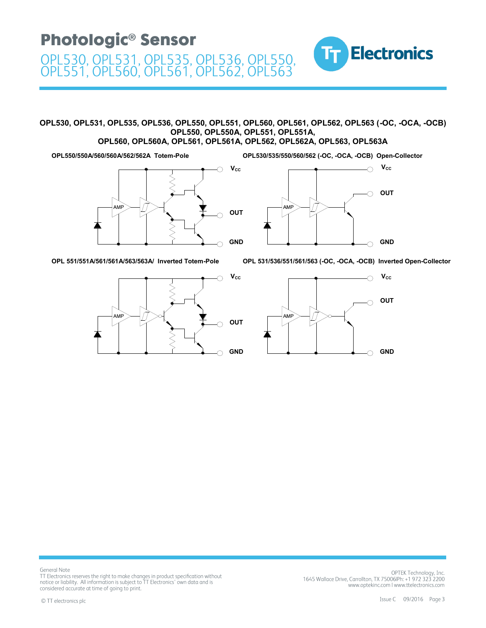#### **OPL530, OPL531, OPL535, OPL536, OPL550, OPL551, OPL560, OPL561, OPL562, OPL563 (-OC, -OCA, -OCB) OPL550, OPL550A, OPL551, OPL551A,**

**OPL560, OPL560A, OPL561, OPL561A, OPL562, OPL562A, OPL563, OPL563A**

**OPL550/550A/560/560A/562/562A Totem-Pole**





**OPL530/535/550/560/562 (-OC, -OCA, -OCB) Open-Collector**

TT.

**Electronics** 

**OPL 551/551A/561/561A/563/563A/ Inverted Totem-Pole OPL 531/536/551/561/563 (-OC, -OCA, -OCB) Inverted Open-Collector**





**General Note** TT Electronics reserves the right to make changes in product specification without notice or liability. All information is subject to TT Electronics' own data and is considered accurate at time of going to print.

OPTEK Technology, Inc. 1645 Wallace Drive, Carrollton, TX 75006IPh: +1 972 323 2200 www.optekinc.com | www.ttelectronics.com

Issue C 09/2016 Page 3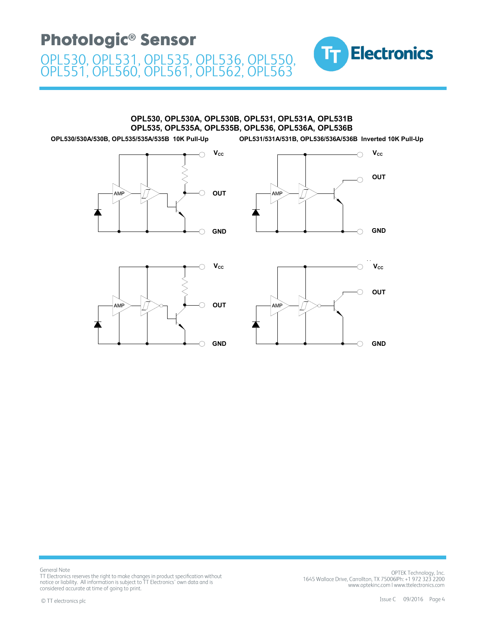

**OPL530, OPL530A, OPL530B, OPL531, OPL531A, OPL531B OPL535, OPL535A, OPL535B, OPL536, OPL536A, OPL536B**

**OPL530/530A/530B, OPL535/535A/535B 10K Pull-Up OPL531/531A/531B, OPL536/536A/536B Inverted 10K Pull-Up**



 $V_{cc}$ O **OUT** Ó **AM GND**  $\bigcirc$ 





General Note TT Electronics reserves the right to make changes in product specification without notice or liability. All information is subject to TT Electronics' own data and is considered accurate at time of going to print.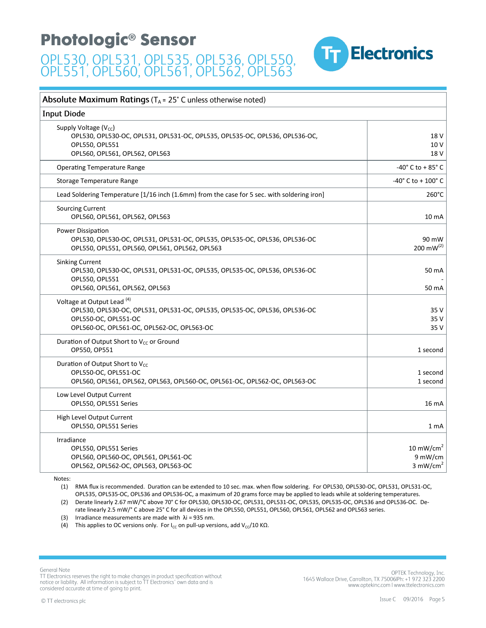

| Absolute Maximum Ratings ( $T_A$ = 25° C unless otherwise noted)                                                                                                                          |                                                            |  |  |  |
|-------------------------------------------------------------------------------------------------------------------------------------------------------------------------------------------|------------------------------------------------------------|--|--|--|
| <b>Input Diode</b>                                                                                                                                                                        |                                                            |  |  |  |
| Supply Voltage (V <sub>cc</sub> )<br>OPL530, OPL530-OC, OPL531, OPL531-OC, OPL535, OPL535-OC, OPL536, OPL536-OC,<br>OPL550, OPL551<br>OPL560, OPL561, OPL562, OPL563                      | 18 <sub>V</sub><br>10 V<br>18 <sub>V</sub>                 |  |  |  |
| <b>Operating Temperature Range</b>                                                                                                                                                        | -40 $^{\circ}$ C to + 85 $^{\circ}$ C                      |  |  |  |
| Storage Temperature Range                                                                                                                                                                 | $-40^{\circ}$ C to + 100° C                                |  |  |  |
| Lead Soldering Temperature [1/16 inch (1.6mm) from the case for 5 sec. with soldering iron]                                                                                               | $260^{\circ}$ C                                            |  |  |  |
| <b>Sourcing Current</b><br>OPL560, OPL561, OPL562, OPL563                                                                                                                                 | 10 <sub>m</sub> A                                          |  |  |  |
| Power Dissipation<br>OPL530, OPL530-OC, OPL531, OPL531-OC, OPL535, OPL535-OC, OPL536, OPL536-OC<br>OPL550, OPL551, OPL560, OPL561, OPL562, OPL563                                         | 90 mW<br>200 m $W^{(2)}$                                   |  |  |  |
| <b>Sinking Current</b><br>OPL530, OPL530-OC, OPL531, OPL531-OC, OPL535, OPL535-OC, OPL536, OPL536-OC<br>OPL550, OPL551<br>OPL560, OPL561, OPL562, OPL563                                  | 50 mA<br>50 mA                                             |  |  |  |
| Voltage at Output Lead <sup>(4)</sup><br>OPL530, OPL530-OC, OPL531, OPL531-OC, OPL535, OPL535-OC, OPL536, OPL536-OC<br>OPL550-OC, OPL551-OC<br>OPL560-OC, OPL561-OC, OPL562-OC, OPL563-OC | 35 V<br>35 V<br>35 V                                       |  |  |  |
| Duration of Output Short to V <sub>cc</sub> or Ground<br>OP550, OP551                                                                                                                     | 1 second                                                   |  |  |  |
| Duration of Output Short to V <sub>cc</sub><br>OPL550-OC, OPL551-OC<br>OPL560, OPL561, OPL562, OPL563, OPL560-OC, OPL561-OC, OPL562-OC, OPL563-OC                                         | 1 second<br>1 second                                       |  |  |  |
| Low Level Output Current<br>OPL550, OPL551 Series                                                                                                                                         | 16 mA                                                      |  |  |  |
| High Level Output Current<br>OPL550, OPL551 Series                                                                                                                                        | 1 mA                                                       |  |  |  |
| Irradiance<br>OPL550, OPL551 Series<br>OPL560, OPL560-OC, OPL561, OPL561-OC<br>OPL562, OPL562-OC, OPL563, OPL563-OC                                                                       | 10 mW/cm <sup>2</sup><br>9 mW/cm<br>$3$ mW/cm <sup>2</sup> |  |  |  |

Notes:

(1) RMA flux is recommended. Duration can be extended to 10 sec. max. when flow soldering. For OPL530, OPL530-OC, OPL531, OPL531-OC, OPL535, OPL535-OC, OPL536 and OPL536-OC, a maximum of 20 grams force may be applied to leads while at soldering temperatures.

(2) Derate linearly 2.67 mW/°C above 70° C for OPL530, OPL530-OC, OPL531, OPL531-OC, OPL535, OPL535-OC, OPL536 and OPL536-OC. Derate linearly 2.5 mW/° C above 25° C for all devices in the OPL550, OPL551, OPL560, OPL561, OPL562 and OPL563 series.

(3) Irradiance measurements are made with  $\lambda$ i = 935 nm.

(4) This applies to OC versions only. For  $I_{CC}$  on pull-up versions, add  $V_{CC}/10$  K $\Omega$ .

General Note TT Electronics reserves the right to make changes in product specification without notice or liability. All information is subject to TT Electronics' own data and is considered accurate at time of going to print.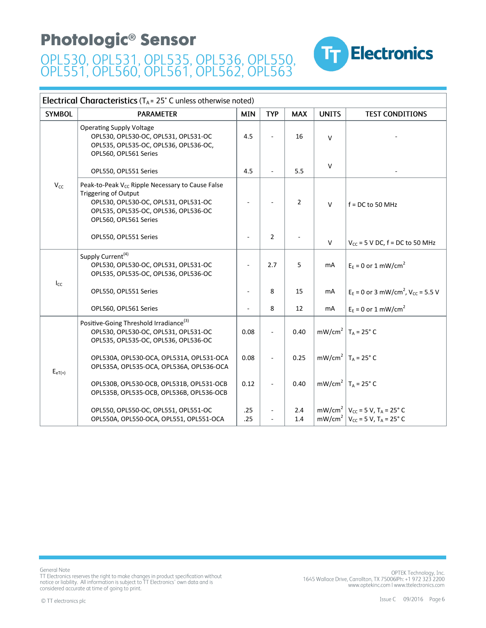

#### **Electrical Characteristics** ( $T_A = 25^\circ$  C unless otherwise noted)

| <b>SYMBOL</b> | <b>PARAMETER</b>                                                                                                                                                                                     | <b>MIN</b> | <b>TYP</b>     | <b>MAX</b>     | <b>UNITS</b> | <b>TEST CONDITIONS</b>                                                                                                            |
|---------------|------------------------------------------------------------------------------------------------------------------------------------------------------------------------------------------------------|------------|----------------|----------------|--------------|-----------------------------------------------------------------------------------------------------------------------------------|
|               | <b>Operating Supply Voltage</b><br>OPL530, OPL530-OC, OPL531, OPL531-OC<br>OPL535, OPL535-OC, OPL536, OPL536-OC,<br>OPL560, OPL561 Series                                                            | 4.5        |                | 16             | $\vee$       |                                                                                                                                   |
|               | OPL550, OPL551 Series                                                                                                                                                                                | 4.5        |                | 5.5            | $\vee$       |                                                                                                                                   |
| $V_{CC}$      | Peak-to-Peak V <sub>cc</sub> Ripple Necessary to Cause False<br><b>Triggering of Output</b><br>OPL530, OPL530-OC, OPL531, OPL531-OC<br>OPL535, OPL535-OC, OPL536, OPL536-OC<br>OPL560, OPL561 Series |            |                | $\overline{2}$ | $\vee$       | $f = DC$ to 50 MHz                                                                                                                |
|               | OPL550, OPL551 Series                                                                                                                                                                                |            | $\overline{2}$ |                | $\vee$       | $V_{CC}$ = 5 V DC, f = DC to 50 MHz                                                                                               |
|               | Supply Current <sup>(4)</sup><br>OPL530, OPL530-OC, OPL531, OPL531-OC<br>OPL535, OPL535-OC, OPL536, OPL536-OC                                                                                        |            | 2.7            | 5              | mA           | $E_E = 0$ or 1 mW/cm <sup>2</sup>                                                                                                 |
| $I_{CC}$      | OPL550, OPL551 Series                                                                                                                                                                                |            | 8              | 15             | mA           | $E_E = 0$ or 3 mW/cm <sup>2</sup> , V <sub>cc</sub> = 5.5 V                                                                       |
|               | OPL560, OPL561 Series                                                                                                                                                                                |            | 8              | 12             | mA           | $E_F = 0$ or 1 mW/cm <sup>2</sup>                                                                                                 |
|               | Positive-Going Threshold Irradiance <sup>(3)</sup><br>OPL530, OPL530-OC, OPL531, OPL531-OC<br>OPL535, OPL535-OC, OPL536, OPL536-OC                                                                   | 0.08       |                | 0.40           |              | mW/cm <sup>2</sup>   $T_A$ = 25° C                                                                                                |
| $E_{eT(+)}$   | OPL530A, OPL530-OCA, OPL531A, OPL531-OCA<br>OPL535A, OPL535-OCA, OPL536A, OPL536-OCA                                                                                                                 | 0.08       |                | 0.25           |              | mW/cm <sup>2</sup>   $T_A$ = 25° C                                                                                                |
|               | OPL530B, OPL530-OCB, OPL531B, OPL531-OCB<br>OPL535B, OPL535-OCB, OPL536B, OPL536-OCB                                                                                                                 | 0.12       |                | 0.40           |              | mW/cm <sup>2</sup>   $T_A$ = 25° C                                                                                                |
|               | OPL550, OPL550-OC, OPL551, OPL551-OC<br>OPL550A, OPL550-OCA, OPL551, OPL551-OCA                                                                                                                      | .25<br>.25 |                | 2.4<br>1.4     |              | mW/cm <sup>2</sup>   $V_{\text{cc}}$ = 5 V, T <sub>A</sub> = 25° C<br>mW/cm <sup>2</sup>   $V_{cc}$ = 5 V, T <sub>A</sub> = 25° C |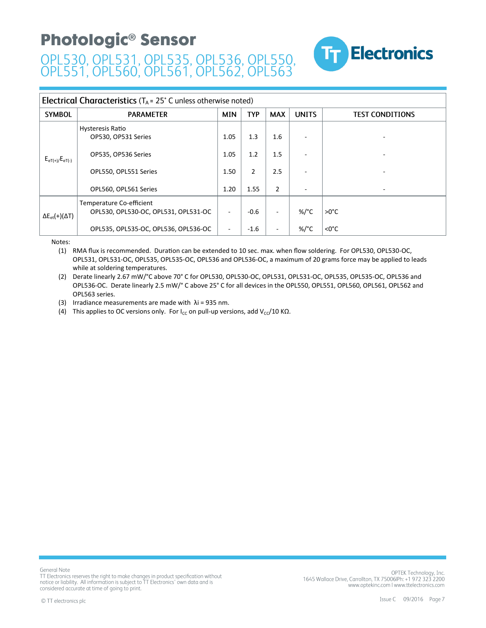

#### **Electrical Characteristics** ( $T_A$  = 25° C unless otherwise noted)

| <b>SYMBOL</b>                       | <b>PARAMETER</b>                                                 | <b>MIN</b> | <b>TYP</b>     | <b>MAX</b>               | <b>UNITS</b>    | <b>TEST CONDITIONS</b> |
|-------------------------------------|------------------------------------------------------------------|------------|----------------|--------------------------|-----------------|------------------------|
| $E_{eT(+)/}E_{eT(-)}$               | Hysteresis Ratio<br>OP530, OP531 Series                          | 1.05       | 1.3            | 1.6                      |                 | ۰                      |
|                                     | OP535, OP536 Series                                              | 1.05       | 1.2            | 1.5                      |                 |                        |
|                                     | OPL550, OPL551 Series                                            | 1.50       | $\overline{2}$ | 2.5                      |                 |                        |
|                                     | OPL560, OPL561 Series                                            | 1.20       | 1.55           | $\overline{2}$           |                 | ٠                      |
| $\Delta E_{\text{et}}(+)(\Delta T)$ | Temperature Co-efficient<br>OPL530, OPL530-OC, OPL531, OPL531-OC |            | $-0.6$         | $\overline{\phantom{a}}$ | %/°C            | $>0^{\circ}C$          |
|                                     | OPL535, OPL535-OC, OPL536, OPL536-OC                             | -          | $-1.6$         | $\overline{\phantom{a}}$ | %/ $^{\circ}$ C | $<0^{\circ}$ C         |

Notes:

(1) RMA flux is recommended. Duration can be extended to 10 sec. max. when flow soldering. For OPL530, OPL530-OC, OPL531, OPL531-OC, OPL535, OPL535-OC, OPL536 and OPL536-OC, a maximum of 20 grams force may be applied to leads while at soldering temperatures.

(2) Derate linearly 2.67 mW/°C above 70° C for OPL530, OPL530-OC, OPL531, OPL531-OC, OPL535, OPL535-OC, OPL536 and OPL536-OC. Derate linearly 2.5 mW/° C above 25° C for all devices in the OPL550, OPL551, OPL560, OPL561, OPL562 and OPL563 series.

(3) Irradiance measurements are made with  $\lambda$ i = 935 nm.

(4) This applies to OC versions only. For  $I_{CC}$  on pull-up versions, add V<sub>CC</sub>/10 K $\Omega$ .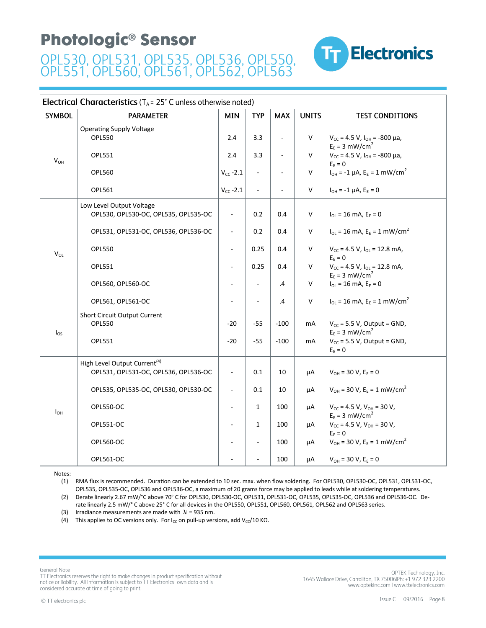

| <b>Electrical Characteristics</b> ( $T_A$ = 25° C unless otherwise noted) |                                                                                  |                          |                     |                |              |                                                                                 |  |  |
|---------------------------------------------------------------------------|----------------------------------------------------------------------------------|--------------------------|---------------------|----------------|--------------|---------------------------------------------------------------------------------|--|--|
| <b>SYMBOL</b>                                                             | <b>PARAMETER</b>                                                                 | <b>MIN</b>               | <b>TYP</b>          | <b>MAX</b>     | <b>UNITS</b> | <b>TEST CONDITIONS</b>                                                          |  |  |
|                                                                           | <b>Operating Supply Voltage</b><br><b>OPL550</b>                                 | 2.4                      | 3.3                 | ÷,             | V            | $V_{CC}$ = 4.5 V, $I_{OH}$ = -800 µa,<br>$E_E = 3$ mW/cm <sup>2</sup>           |  |  |
| $V_{OH}$                                                                  | <b>OPL551</b>                                                                    | 2.4                      | 3.3                 | ÷,             | $\vee$       | $V_{CC}$ = 4.5 V, $I_{OH}$ = -800 µa,<br>$E_E = 0$                              |  |  |
|                                                                           | <b>OPL560</b>                                                                    | $V_{CC}$ -2.1            | ÷,                  |                | $\mathsf{V}$ | $I_{OH} = -1 \mu A$ , $E_E = 1 \ mW/cm^2$                                       |  |  |
|                                                                           | OPL561                                                                           | $V_{CC}$ -2.1            | $\bar{\phantom{a}}$ | $\blacksquare$ | $\mathsf{V}$ | $I_{OH} = -1 \mu A$ , $E_E = 0$                                                 |  |  |
|                                                                           | Low Level Output Voltage<br>OPL530, OPL530-OC, OPL535, OPL535-OC                 | $\overline{\phantom{a}}$ | 0.2                 | 0.4            | V            | $I_{OL}$ = 16 mA, $E_F$ = 0                                                     |  |  |
|                                                                           | OPL531, OPL531-OC, OPL536, OPL536-OC                                             | $\Box$                   | 0.2                 | 0.4            | V            | $I_{OL}$ = 16 mA, E <sub>E</sub> = 1 mW/cm <sup>2</sup>                         |  |  |
| $V_{OL}$                                                                  | <b>OPL550</b>                                                                    | ÷,                       | 0.25                | 0.4            | $\vee$       | $V_{CC}$ = 4.5 V, $I_{OL}$ = 12.8 mA,<br>$\mathsf{E}_{\mathsf{E}} = \mathsf{O}$ |  |  |
|                                                                           | <b>OPL551</b>                                                                    | $\blacksquare$           | 0.25                | 0.4            | $\mathsf{V}$ | $V_{CC}$ = 4.5 V, $I_{OL}$ = 12.8 mA,<br>$E_E = 3$ mW/cm <sup>2</sup>           |  |  |
|                                                                           | OPL560, OPL560-OC                                                                | ÷.                       | ÷,                  | $\cdot$        | V            | $I_{OL} = 16$ mA, $E_E = 0$                                                     |  |  |
|                                                                           | OPL561, OPL561-OC                                                                |                          | ä,                  | .4             | $\mathsf{V}$ | $I_{OL} = 16$ mA, $E_E = 1$ mW/cm <sup>2</sup>                                  |  |  |
| $I_{OS}$                                                                  | Short Circuit Output Current<br><b>OPL550</b>                                    | $-20$                    | $-55$               | $-100$         | mA           | $V_{CC}$ = 5.5 V, Output = GND,<br>$E_E = 3$ mW/cm <sup>2</sup>                 |  |  |
|                                                                           | OPL551                                                                           | $-20$                    | $-55$               | $-100$         | mA           | $V_{CC}$ = 5.5 V, Output = GND,<br>$\mathsf{E}_{\mathsf{E}}=\mathsf{O}$         |  |  |
|                                                                           | High Level Output Current <sup>(4)</sup><br>OPL531, OPL531-OC, OPL536, OPL536-OC | ÷,                       | 0.1                 | 10             | μA           | $V_{OH} = 30 V, E_E = 0$                                                        |  |  |
|                                                                           | OPL535, OPL535-OC, OPL530, OPL530-OC                                             | $\blacksquare$           | 0.1                 | 10             | μA           | $V_{OH}$ = 30 V, E <sub>E</sub> = 1 mW/cm <sup>2</sup>                          |  |  |
| $I_{OH}$                                                                  | <b>OPL550-OC</b>                                                                 | $\frac{1}{2}$            | $\mathbf{1}$        | 100            | μA           | $V_{CC}$ = 4.5 V, $V_{OH}$ = 30 V,<br>$E_F = 3$ mW/cm <sup>2</sup>              |  |  |
|                                                                           | OPL551-OC                                                                        | $\overline{\phantom{a}}$ | $\mathbf{1}$        | 100            | μA           | $V_{CC}$ = 4.5 V, $V_{OH}$ = 30 V,<br>$E_F = 0$                                 |  |  |
|                                                                           | <b>OPL560-OC</b>                                                                 |                          | ÷,                  | 100            | μA           | $V_{OH}$ = 30 V, E <sub>E</sub> = 1 mW/cm <sup>2</sup>                          |  |  |
|                                                                           | OPL561-OC                                                                        |                          | ÷,                  | 100            | μA           | $V_{OH}$ = 30 V, E <sub>F</sub> = 0                                             |  |  |

Notes:

(1) RMA flux is recommended. Duration can be extended to 10 sec. max. when flow soldering. For OPL530, OPL530-OC, OPL531, OPL531-OC, OPL535, OPL535-OC, OPL536 and OPL536-OC, a maximum of 20 grams force may be applied to leads while at soldering temperatures. (2) Derate linearly 2.67 mW/°C above 70° C for OPL530, OPL530-OC, OPL531, OPL531-OC, OPL535, OPL535-OC, OPL536 and OPL536-OC. De-

rate linearly 2.5 mW/° C above 25° C for all devices in the OPL550, OPL551, OPL560, OPL561, OPL562 and OPL563 series.

(3) Irradiance measurements are made with  $\lambda$ i = 935 nm.

(4) This applies to OC versions only. For I<sub>cc</sub> on pull-up versions, add V<sub>cc</sub>/10 K $\Omega$ .

General Note TT Electronics reserves the right to make changes in product specification without notice or liability. All information is subject to TT Electronics' own data and is considered accurate at time of going to print.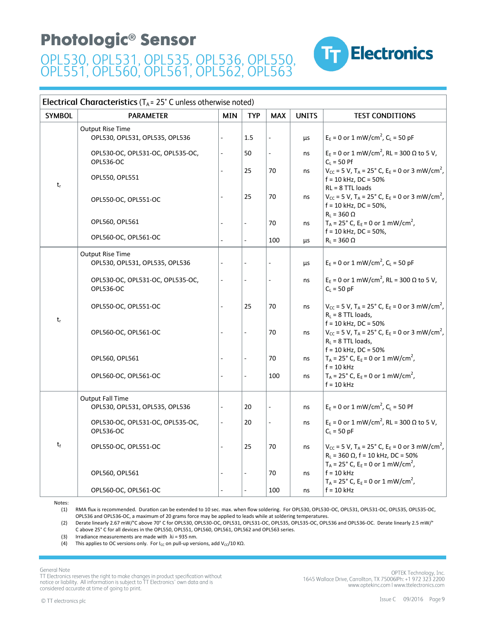

#### **Electrical Characteristics** ( $T_A$  = 25° C unless otherwise noted)

| <b>SYMBOL</b> | <b>PARAMETER</b>                                          | <b>MIN</b> | <b>TYP</b>     | <b>MAX</b>               | <b>UNITS</b> | <b>TEST CONDITIONS</b>                                                                                                                            |
|---------------|-----------------------------------------------------------|------------|----------------|--------------------------|--------------|---------------------------------------------------------------------------------------------------------------------------------------------------|
|               | <b>Output Rise Time</b><br>OPL530, OPL531, OPL535, OPL536 |            | 1.5            |                          | μs           | $E_E = 0$ or 1 mW/cm <sup>2</sup> , $C_L = 50$ pF                                                                                                 |
| $t_{r}$       | OPL530-OC, OPL531-OC, OPL535-OC,<br><b>OPL536-OC</b>      |            | 50             | ÷,                       | ns           | $E_E = 0$ or 1 mW/cm <sup>2</sup> , RL = 300 $\Omega$ to 5 V,<br>$C_L = 50$ Pf                                                                    |
|               | OPL550, OPL551                                            |            | 25             | 70                       | ns           | $V_{\text{CC}}$ = 5 V, T <sub>A</sub> = 25° C, E <sub>E</sub> = 0 or 3 mW/cm <sup>2</sup> ,<br>$f = 10$ kHz, DC = 50%<br>$RL = 8$ TTL loads       |
|               | OPL550-OC, OPL551-OC                                      |            | 25             | 70                       | ns           | $V_{CC}$ = 5 V, T <sub>A</sub> = 25° C, E <sub>E</sub> = 0 or 3 mW/cm <sup>2</sup> ,<br>$f = 10$ kHz, DC = 50%,                                   |
|               | OPL560, OPL561                                            |            |                | 70                       | ns           | $R_L = 360 \Omega$<br>$T_A = 25^\circ$ C, E <sub>E</sub> = 0 or 1 mW/cm <sup>2</sup> ,<br>$f = 10$ kHz, DC = 50%,                                 |
|               | OPL560-OC, OPL561-OC                                      |            | $\overline{a}$ | 100                      | μs           | $R_L = 360 \Omega$                                                                                                                                |
|               | <b>Output Rise Time</b><br>OPL530, OPL531, OPL535, OPL536 |            |                |                          | μs           | $E_F = 0$ or 1 mW/cm <sup>2</sup> , $C_l = 50$ pF                                                                                                 |
| $t_r$         | OPL530-OC, OPL531-OC, OPL535-OC,<br><b>OPL536-OC</b>      |            |                | L.                       | ns           | $E_E = 0$ or 1 mW/cm <sup>2</sup> , RL = 300 $\Omega$ to 5 V,<br>$C_{L}$ = 50 pF                                                                  |
|               | OPL550-OC, OPL551-OC                                      |            | 25             | 70                       | ns           | $V_{\text{CC}}$ = 5 V, T <sub>A</sub> = 25° C, E <sub>E</sub> = 0 or 3 mW/cm <sup>2</sup> ,<br>$R_L = 8$ TTL loads,                               |
|               | OPL560-OC, OPL561-OC                                      |            |                | 70                       | ns           | $f = 10$ kHz, DC = 50%<br>$V_{\text{CC}}$ = 5 V, T <sub>A</sub> = 25° C, E <sub>E</sub> = 0 or 3 mW/cm <sup>2</sup> ,<br>$R_1 = 8$ TTL loads,     |
|               | OPL560, OPL561                                            |            |                | 70                       | ns           | $f = 10$ kHz, DC = 50%<br>$T_A = 25^\circ$ C, E <sub>E</sub> = 0 or 1 mW/cm <sup>2</sup> ,<br>$f = 10$ kHz                                        |
|               | OPL560-OC, OPL561-OC                                      |            |                | 100                      | ns           | $T_A = 25^\circ$ C, E <sub>E</sub> = 0 or 1 mW/cm <sup>2</sup> ,<br>$f = 10$ kHz                                                                  |
|               | <b>Output Fall Time</b><br>OPL530, OPL531, OPL535, OPL536 |            | 20             | $\overline{\phantom{a}}$ | ns           | $E_E = 0$ or 1 mW/cm <sup>2</sup> , $C_L = 50$ Pf                                                                                                 |
|               | OPL530-OC, OPL531-OC, OPL535-OC,<br><b>OPL536-OC</b>      |            | 20             | $\frac{1}{2}$            | ns           | $E_E = 0$ or 1 mW/cm <sup>2</sup> , RL = 300 $\Omega$ to 5 V,<br>$C_L = 50$ pF                                                                    |
| $t_{\rm f}$   | OPL550-OC, OPL551-OC                                      |            | 25             | 70                       | ns           | $V_{\text{CC}}$ = 5 V, T <sub>A</sub> = 25° C, E <sub>E</sub> = 0 or 3 mW/cm <sup>2</sup> ,<br>$R_L$ = 360 $\Omega$ , f = 10 kHz, DC = 50%        |
|               | OPL560, OPL561                                            |            | L.             | 70                       | ns           | $T_A = 25^{\circ}$ C, E <sub>E</sub> = 0 or 1 mW/cm <sup>2</sup> ,<br>$f = 10$ kHz<br>$T_A$ = 25° C, E <sub>E</sub> = 0 or 1 mW/cm <sup>2</sup> , |
|               | OPL560-OC, OPL561-OC                                      |            |                | 100                      | ns           | $f = 10$ kHz                                                                                                                                      |

Notes:

(1) RMA flux is recommended. Duration can be extended to 10 sec. max. when flow soldering. For OPL530, OPL530-OC, OPL531, OPL531-OC, OPL535, OPL535-OC, OPL536 and OPL536-OC, a maximum of 20 grams force may be applied to leads while at soldering temperatures.

(2) Derate linearly 2.67 mW/°C above 70° C for OPL530, OPL530-OC, OPL531, OPL531-OC, OPL535, OPL535-OC, OPL536 and OPL536-OC. Derate linearly 2.5 mW/° C above 25° C for all devices in the OPL550, OPL551, OPL560, OPL561, OPL562 and OPL563 series.

(3) Irradiance measurements are made with  $\lambda$ i = 935 nm.

(4) This applies to OC versions only. For I<sub>CC</sub> on pull-up versions, add V<sub>CC</sub>/10 KΩ.

**General Note** 

TT Electronics reserves the right to make changes in product specification without notice or liability. All information is subject to TT Electronics' own data and is considered accurate at time of going to print.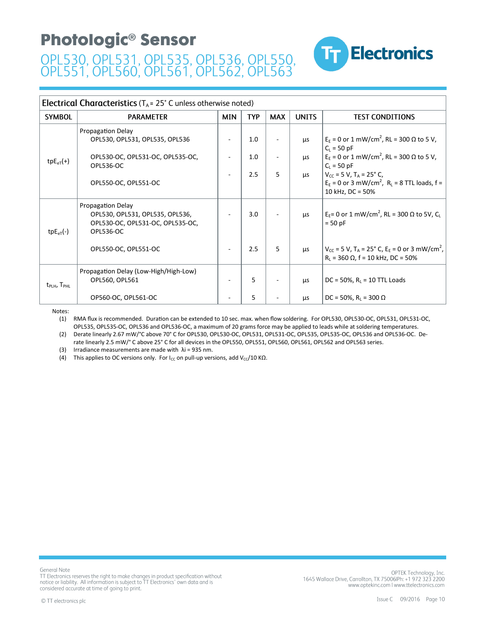

| <b>Electrical Characteristics</b> ( $T_A$ = 25° C unless otherwise noted) |                                                                                                              |            |      |            |              |                                                                                                                                     |  |  |
|---------------------------------------------------------------------------|--------------------------------------------------------------------------------------------------------------|------------|------|------------|--------------|-------------------------------------------------------------------------------------------------------------------------------------|--|--|
| <b>SYMBOL</b>                                                             | <b>PARAMETER</b>                                                                                             | <b>MIN</b> | TYP. | <b>MAX</b> | <b>UNITS</b> | <b>TEST CONDITIONS</b>                                                                                                              |  |  |
|                                                                           | <b>Propagation Delay</b><br>OPL530, OPL531, OPL535, OPL536                                                   |            | 1.0  |            | <b>LLS</b>   | $E_F$ = 0 or 1 mW/cm <sup>2</sup> , RL = 300 Ω to 5 V,<br>$C_{L}$ = 50 pF                                                           |  |  |
| $tpE_{eT}(+)$                                                             | OPL530-OC, OPL531-OC, OPL535-OC,<br><b>OPL536-OC</b>                                                         |            | 1.0  |            | <b>LLS</b>   | $EE$ = 0 or 1 mW/cm <sup>2</sup> , RL = 300 Ω to 5 V,<br>$C_{L}$ = 50 pF                                                            |  |  |
|                                                                           | OPL550-OC, OPL551-OC                                                                                         |            | 2.5  | 5          | <b>LLS</b>   | $V_{CC}$ = 5 V, T <sub>A</sub> = 25° C,<br>$E_E = 0$ or 3 mW/cm <sup>2</sup> , $R_L = 8$ TTL loads, f =<br>10 kHz, DC = 50%         |  |  |
| $tpE_{eT}(-)$                                                             | Propagation Delay<br>OPL530, OPL531, OPL535, OPL536,<br>OPL530-OC, OPL531-OC, OPL535-OC,<br><b>OPL536-OC</b> |            | 3.0  |            | <b>LLS</b>   | $EE = 0$ or 1 mW/cm <sup>2</sup> , RL = 300 Ω to 5V, C <sub>L</sub><br>$= 50$ pF                                                    |  |  |
|                                                                           | OPL550-OC, OPL551-OC                                                                                         |            | 2.5  | 5.         | μs           | $V_{CC}$ = 5 V, T <sub>A</sub> = 25° C, E <sub>E</sub> = 0 or 3 mW/cm <sup>2</sup> ,<br>$R_L$ = 360 $\Omega$ , f = 10 kHz, DC = 50% |  |  |
| $t_{\text{PLH}}$ , $T_{\text{PHL}}$                                       | Propagation Delay (Low-High/High-Low)<br>OPL560, OPL561                                                      |            | 5    |            | <b>LLS</b>   | DC = 50%, $R_L$ = 10 TTL Loads                                                                                                      |  |  |
|                                                                           | OP560-OC, OPL561-OC                                                                                          |            | 5.   |            | μs           | DC = 50%, $R_1$ = 300 $\Omega$                                                                                                      |  |  |

Notes:

(1) RMA flux is recommended. Duration can be extended to 10 sec. max. when flow soldering. For OPL530, OPL530-OC, OPL531, OPL531-OC, OPL535, OPL535-OC, OPL536 and OPL536-OC, a maximum of 20 grams force may be applied to leads while at soldering temperatures.

(2) Derate linearly 2.67 mW/°C above 70° C for OPL530, OPL530-OC, OPL531, OPL531-OC, OPL535, OPL535-OC, OPL536 and OPL536-OC. Derate linearly 2.5 mW/° C above 25° C for all devices in the OPL550, OPL551, OPL560, OPL561, OPL562 and OPL563 series.

(3) Irradiance measurements are made with  $\lambda$ i = 935 nm.

(4) This applies to OC versions only. For  $I_{CC}$  on pull-up versions, add V<sub>CC</sub>/10 K $\Omega$ .

General Note TT Electronics reserves the right to make changes in product specification without notice or liability. All information is subject to TT Electronics' own data and is considered accurate at time of going to print.